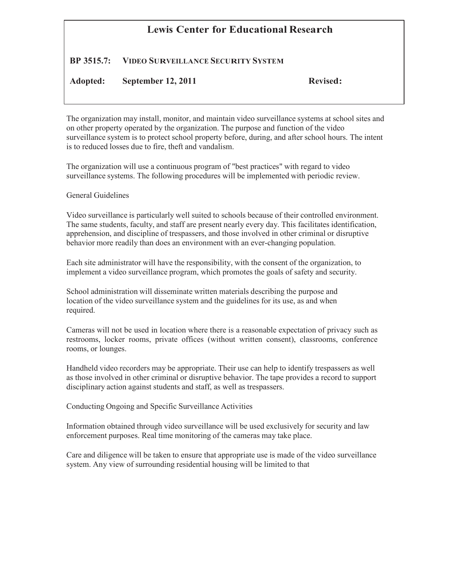## **Lewis Center for Educational Research**

## **BP 3515.7: VIDEO SURVEILLANCE SECURITY SYSTEM**

## **Adopted: September 12, 2011 Revised:**

The organization may install, monitor, and maintain video surveillance systems at school sites and on other property operated by the organization. The purpose and function of the video surveillance system is to protect school property before, during, and after school hours. The intent is to reduced losses due to fire, theft and vandalism.

The organization will use a continuous program of "best practices" with regard to video surveillance systems. The following procedures will be implemented with periodic review.

## General Guidelines

Video surveillance is particularly well suited to schools because of their controlled environment. The same students, faculty, and staff are present nearly every day. This facilitates identification, apprehension, and discipline of trespassers, and those involved in other criminal or disruptive behavior more readily than does an environment with an ever-changing population.

Each site administrator will have the responsibility, with the consent of the organization, to implement a video surveillance program, which promotes the goals of safety and security.

School administration will disseminate written materials describing the purpose and location of the video surveillance system and the guidelines for its use, as and when required.

Cameras will not be used in location where there is a reasonable expectation of privacy such as restrooms, locker rooms, private offices (without written consent), classrooms, conference rooms, or lounges.

Handheld video recorders may be appropriate. Their use can help to identify trespassers as well as those involved in other criminal or disruptive behavior. The tape provides a record to support disciplinary action against students and staff, as well as trespassers.

Conducting Ongoing and Specific Surveillance Activities

Information obtained through video surveillance will be used exclusively for security and law enforcement purposes. Real time monitoring of the cameras may take place.

Care and diligence will be taken to ensure that appropriate use is made of the video surveillance system. Any view of surrounding residential housing will be limited to that